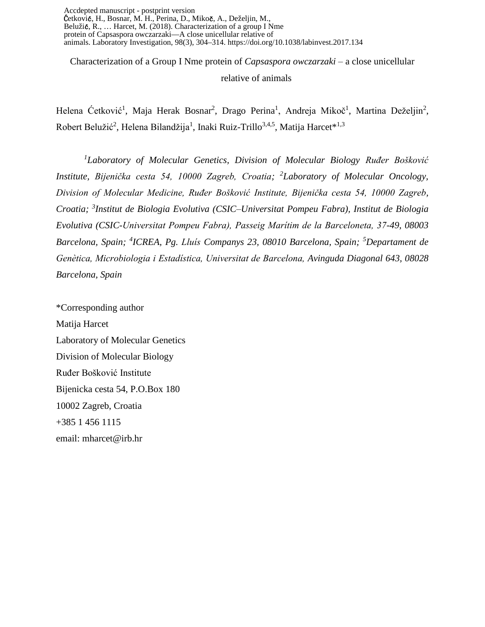Accdepted manuscript - postprint version Ćetković, H., Bosnar, M. H., Perina, D., Mikoč, A., Deželjin, M., Belužić, R., … Harcet, M. (2018). Characterization of a group I Nme protein of Capsaspora owczarzaki—A close unicellular relative of animals. Laboratory Investigation, 98(3), 304–314. https://doi.org/10.1038/labinvest.2017.134

Characterization of a Group I Nme protein of *Capsaspora owczarzaki* – a close unicellular relative of animals

Helena Ćetković<sup>1</sup>, Maja Herak Bosnar<sup>2</sup>, Drago Perina<sup>1</sup>, Andreja Mikoč<sup>1</sup>, Martina Deželjin<sup>2</sup>, Robert Belužić<sup>2</sup>, Helena Bilandžija<sup>1</sup>, Inaki Ruiz-Trillo<sup>3,4,5</sup>, Matija Harcet\*<sup>1,3</sup>

*<sup>1</sup>Laboratory of Molecular Genetics, Division of Molecular Biology Ruđer Bošković Institute, Bijenička cesta 54, 10000 Zagreb, Croatia; <sup>2</sup>Laboratory of Molecular Oncology, Division of Molecular Medicine, Ruđer Bošković Institute, Bijenička cesta 54, 10000 Zagreb, Croatia; 3 Institut de Biologia Evolutiva (CSIC–Universitat Pompeu Fabra), Institut de Biologia Evolutiva (CSIC-Universitat Pompeu Fabra), Passeig Marítim de la Barceloneta, 37-49, 08003 Barcelona, Spain; <sup>4</sup> ICREA, Pg. Lluís Companys 23, 08010 Barcelona, Spain; <sup>5</sup>Departament de Genètica, Microbiologia i Estadística, Universitat de Barcelona, Avinguda Diagonal 643, 08028 Barcelona, Spain*

\*Corresponding author Matija Harcet Laboratory of Molecular Genetics Division of Molecular Biology Ruđer Bošković Institute Bijenicka cesta 54, P.O.Box 180 10002 Zagreb, Croatia +385 1 456 1115 email: mharcet@irb.hr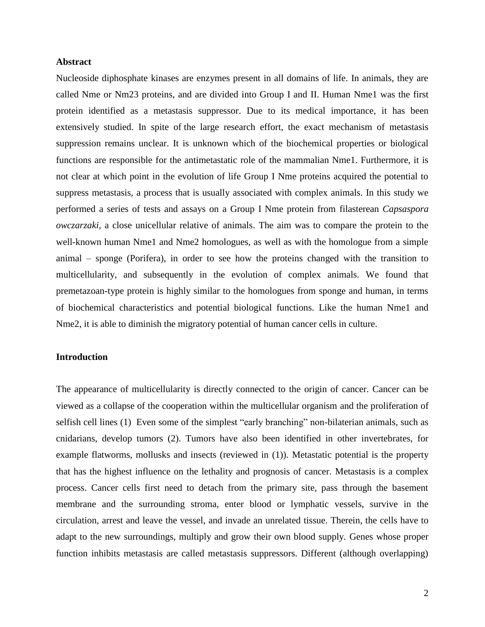#### **Abstract**

Nucleoside diphosphate kinases are enzymes present in all domains of life. In animals, they are called Nme or Nm23 proteins, and are divided into Group I and II. Human Nme1 was the first protein identified as a metastasis suppressor. Due to its medical importance, it has been extensively studied. In spite of the large research effort, the exact mechanism of metastasis suppression remains unclear. It is unknown which of the biochemical properties or biological functions are responsible for the antimetastatic role of the mammalian Nme1. Furthermore, it is not clear at which point in the evolution of life Group I Nme proteins acquired the potential to suppress metastasis, a process that is usually associated with complex animals. In this study we performed a series of tests and assays on a Group I Nme protein from filasterean *Capsaspora owczarzaki,* a close unicellular relative of animals. The aim was to compare the protein to the well-known human Nme1 and Nme2 homologues, as well as with the homologue from a simple animal – sponge (Porifera), in order to see how the proteins changed with the transition to multicellularity, and subsequently in the evolution of complex animals. We found that premetazoan-type protein is highly similar to the homologues from sponge and human, in terms of biochemical characteristics and potential biological functions. Like the human Nme1 and Nme2, it is able to diminish the migratory potential of human cancer cells in culture.

## **Introduction**

The appearance of multicellularity is directly connected to the origin of cancer. Cancer can be viewed as a collapse of the cooperation within the multicellular organism and the proliferation of selfish cell lines [\(1\)](#page-16-0) Even some of the simplest "early branching" non-bilaterian animals, such as cnidarians, develop tumors [\(2\)](#page-16-1). Tumors have also been identified in other invertebrates, for example flatworms, mollusks and insects (reviewed in [\(1\)](#page-16-0)). Metastatic potential is the property that has the highest influence on the lethality and prognosis of cancer. Metastasis is a complex process. Cancer cells first need to detach from the primary site, pass through the basement membrane and the surrounding stroma, enter blood or lymphatic vessels, survive in the circulation, arrest and leave the vessel, and invade an unrelated tissue. Therein, the cells have to adapt to the new surroundings, multiply and grow their own blood supply. Genes whose proper function inhibits metastasis are called metastasis suppressors. Different (although overlapping)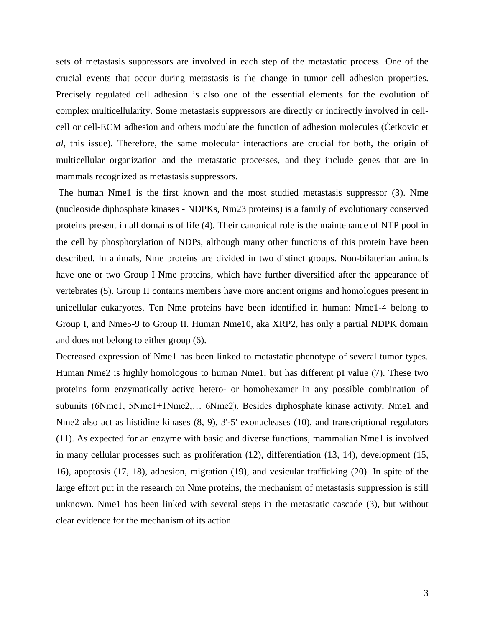sets of metastasis suppressors are involved in each step of the metastatic process. One of the crucial events that occur during metastasis is the change in tumor cell adhesion properties. Precisely regulated cell adhesion is also one of the essential elements for the evolution of complex multicellularity. Some metastasis suppressors are directly or indirectly involved in cellcell or cell-ECM adhesion and others modulate the function of adhesion molecules (Ćetkovic et *al*, this issue). Therefore, the same molecular interactions are crucial for both, the origin of multicellular organization and the metastatic processes, and they include genes that are in mammals recognized as metastasis suppressors.

The human Nme1 is the first known and the most studied metastasis suppressor [\(3\)](#page-16-2). Nme (nucleoside diphosphate kinases - NDPKs, Nm23 proteins) is a family of evolutionary conserved proteins present in all domains of life [\(4\)](#page-16-3). Their canonical role is the maintenance of NTP pool in the cell by phosphorylation of NDPs, although many other functions of this protein have been described. In animals, Nme proteins are divided in two distinct groups. Non-bilaterian animals have one or two Group I Nme proteins, which have further diversified after the appearance of vertebrates [\(5\)](#page-16-4). Group II contains members have more ancient origins and homologues present in unicellular eukaryotes. Ten Nme proteins have been identified in human: Nme1-4 belong to Group I, and Nme5-9 to Group II. Human Nme10, aka XRP2, has only a partial NDPK domain and does not belong to either group [\(6\)](#page-16-5).

Decreased expression of Nme1 has been linked to metastatic phenotype of several tumor types. Human Nme2 is highly homologous to human Nme1, but has different pI value [\(7\)](#page-16-6). These two proteins form enzymatically active hetero- or homohexamer in any possible combination of subunits (6Nme1, 5Nme1+1Nme2,… 6Nme2). Besides diphosphate kinase activity, Nme1 and Nme2 also act as histidine kinases  $(8, 9)$  $(8, 9)$ , 3'-5' exonucleases  $(10)$ , and transcriptional regulators [\(11\)](#page-16-10). As expected for an enzyme with basic and diverse functions, mammalian Nme1 is involved in many cellular processes such as proliferation [\(12\)](#page-16-11), differentiation [\(13,](#page-16-12) [14\)](#page-17-0), development [\(15,](#page-17-1) [16\)](#page-17-2), apoptosis [\(17,](#page-17-3) [18\)](#page-17-4), adhesion, migration [\(19\)](#page-17-5), and vesicular trafficking [\(20\)](#page-17-6). In spite of the large effort put in the research on Nme proteins, the mechanism of metastasis suppression is still unknown. Nme1 has been linked with several steps in the metastatic cascade [\(3\)](#page-16-2), but without clear evidence for the mechanism of its action.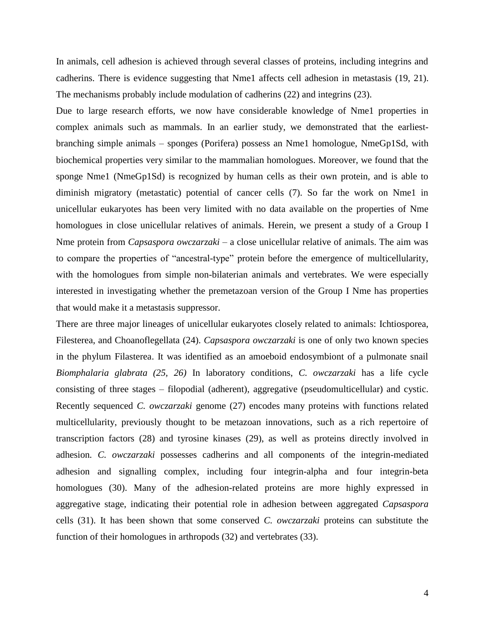In animals, cell adhesion is achieved through several classes of proteins, including integrins and cadherins. There is evidence suggesting that Nme1 affects cell adhesion in metastasis [\(19,](#page-17-5) [21\)](#page-17-7). The mechanisms probably include modulation of cadherins [\(22\)](#page-17-8) and integrins [\(23\)](#page-17-9).

Due to large research efforts, we now have considerable knowledge of Nme1 properties in complex animals such as mammals. In an earlier study, we demonstrated that the earliestbranching simple animals – sponges (Porifera) possess an Nme1 homologue, NmeGp1Sd, with biochemical properties very similar to the mammalian homologues. Moreover, we found that the sponge Nme1 (NmeGp1Sd) is recognized by human cells as their own protein, and is able to diminish migratory (metastatic) potential of cancer cells [\(7\)](#page-16-6). So far the work on Nme1 in unicellular eukaryotes has been very limited with no data available on the properties of Nme homologues in close unicellular relatives of animals. Herein, we present a study of a Group I Nme protein from *Capsaspora owczarzaki –* a close unicellular relative of animals. The aim was to compare the properties of "ancestral-type" protein before the emergence of multicellularity, with the homologues from simple non-bilaterian animals and vertebrates. We were especially interested in investigating whether the premetazoan version of the Group I Nme has properties that would make it a metastasis suppressor.

There are three major lineages of unicellular eukaryotes closely related to animals: Ichtiosporea, Filesterea, and Choanoflegellata [\(24\)](#page-17-10). *Capsaspora owczarzaki* is one of only two known species in the phylum Filasterea. It was identified as an amoeboid endosymbiont of a pulmonate snail *Biomphalaria glabrata [\(25,](#page-17-11) [26\)](#page-17-12)* In laboratory conditions, *C. owczarzaki* has a life cycle consisting of three stages – filopodial (adherent), aggregative (pseudomulticellular) and cystic. Recently sequenced *C. owczarzaki* genome [\(27\)](#page-18-0) encodes many proteins with functions related multicellularity, previously thought to be metazoan innovations, such as a rich repertoire of transcription factors [\(28\)](#page-18-1) and tyrosine kinases [\(29\)](#page-18-2), as well as proteins directly involved in adhesion*. C. owczarzaki* possesses cadherins and all components of the integrin-mediated adhesion and signalling complex, including four integrin-alpha and four integrin-beta homologues [\(30\)](#page-18-3). Many of the adhesion-related proteins are more highly expressed in aggregative stage, indicating their potential role in adhesion between aggregated *Capsaspora*  cells [\(31\)](#page-18-4). It has been shown that some conserved *C. owczarzaki* proteins can substitute the function of their homologues in arthropods [\(32\)](#page-18-5) and vertebrates [\(33\)](#page-18-6).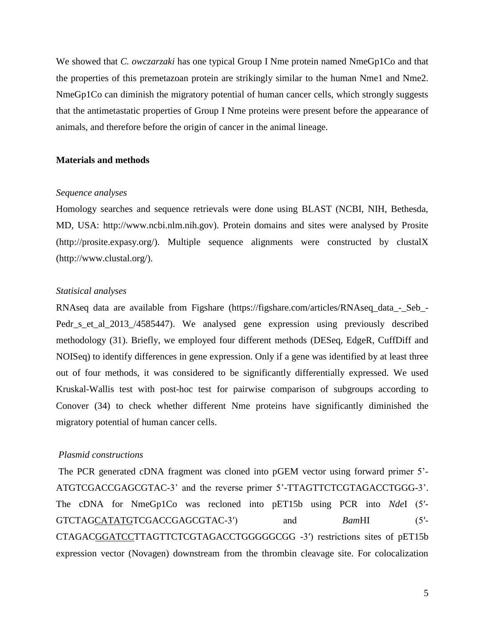We showed that *C. owczarzaki* has one typical Group I Nme protein named NmeGp1Co and that the properties of this premetazoan protein are strikingly similar to the human Nme1 and Nme2. NmeGp1Co can diminish the migratory potential of human cancer cells, which strongly suggests that the antimetastatic properties of Group I Nme proteins were present before the appearance of animals, and therefore before the origin of cancer in the animal lineage.

#### **Materials and methods**

#### *Sequence analyses*

Homology searches and sequence retrievals were done using BLAST (NCBI, NIH, Bethesda, MD, USA: http://www.ncbi.nlm.nih.gov). Protein domains and sites were analysed by Prosite (http://prosite.expasy.org/). Multiple sequence alignments were constructed by clustalX (http://www.clustal.org/).

## *Statisical analyses*

RNAseq data are available from Figshare (https://figshare.com/articles/RNAseq\_data\_-\_Seb\_- Pedr\_s\_et\_al\_2013\_/4585447). We analysed gene expression using previously described methodology [\(31\)](#page-18-4). Briefly, we employed four different methods (DESeq, EdgeR, CuffDiff and NOISeq) to identify differences in gene expression. Only if a gene was identified by at least three out of four methods, it was considered to be significantly differentially expressed. We used Kruskal-Wallis test with post-hoc test for pairwise comparison of subgroups according to Conover [\(34\)](#page-18-7) to check whether different Nme proteins have significantly diminished the migratory potential of human cancer cells.

## *Plasmid constructions*

The PCR generated cDNA fragment was cloned into pGEM vector using forward primer 5'- ATGTCGACCGAGCGTAC-3' and the reverse primer 5'-TTAGTTCTCGTAGACCTGGG-3'. The cDNA for NmeGp1Co was recloned into pET15b using PCR into *Nde*I (5′- GTCTAGCATATGTCGACCGAGCGTAC-3′) and *Bam*HI (5′- CTAGACGGATCCTTAGTTCTCGTAGACCTGGGGGCGG -3′) restrictions sites of pET15b expression vector (Novagen) downstream from the thrombin cleavage site. For colocalization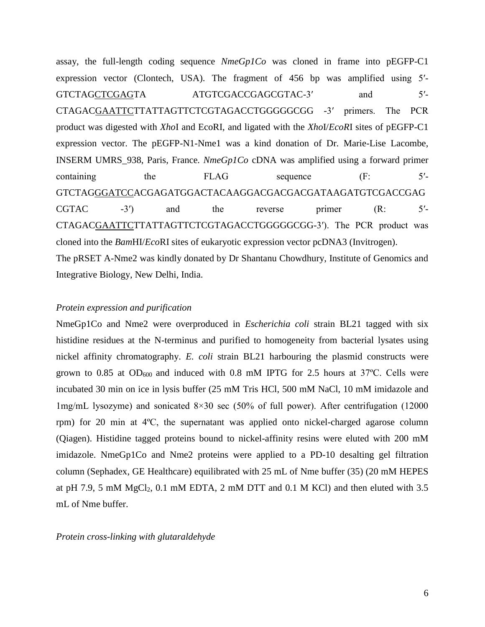assay, the full-length coding sequence *NmeGp1Co* was cloned in frame into pEGFP-C1 expression vector (Clontech, USA). The fragment of 456 bp was amplified using 5′- GTCTAGCTCGAGTA ATGTCGACCGAGCGTAC-3' and 5'-CTAGACGAATTCTTATTAGTTCTCGTAGACCTGGGGGCGG -3′ primers. The PCR product was digested with *Xho*I and EcoRI, and ligated with the *Xho*I/*EcoR*I sites of pEGFP-C1 expression vector. The pEGFP-N1-Nme1 was a kind donation of Dr. Marie-Lise Lacombe, INSERM UMRS\_938, Paris, France*. NmeGp1Co* cDNA was amplified using a forward primer containing the FLAG sequence (F: 5<sup>'-</sup> GTCTAGGGATCCACGAGATGGACTACAAGGACGACGACGATAAGATGTCGACCGAG  $CGTAC$  -3<sup>'</sup>) and the reverse primer  $(R: 5'$ -CTAGACGAATTCTTATTAGTTCTCGTAGACCTGGGGGCGG-3′). The PCR product was cloned into the *Bam*HI/*Eco*RI sites of eukaryotic expression vector pcDNA3 (Invitrogen). The pRSET A-Nme2 was kindly donated by Dr Shantanu Chowdhury, Institute of Genomics and Integrative Biology, New Delhi, India.

## *Protein expression and purification*

NmeGp1Co and Nme2 were overproduced in *Escherichia coli* strain BL21 tagged with six histidine residues at the N-terminus and purified to homogeneity from bacterial lysates using nickel affinity chromatography. *E. coli* strain BL21 harbouring the plasmid constructs were grown to 0.85 at  $OD_{600}$  and induced with 0.8 mM IPTG for 2.5 hours at 37°C. Cells were incubated 30 min on ice in lysis buffer (25 mM Tris HCl, 500 mM NaCl, 10 mM imidazole and 1mg/mL lysozyme) and sonicated 8×30 sec (50% of full power). After centrifugation (12000 rpm) for 20 min at 4ºC, the supernatant was applied onto nickel-charged agarose column (Qiagen). Histidine tagged proteins bound to nickel-affinity resins were eluted with 200 mM imidazole. NmeGp1Co and Nme2 proteins were applied to a PD-10 desalting gel filtration column (Sephadex, GE Healthcare) equilibrated with 25 mL of Nme buffer [\(35\)](#page-18-8) (20 mM HEPES at pH 7.9, 5 mM  $MgCl<sub>2</sub>$ , 0.1 mM EDTA, 2 mM DTT and 0.1 M KCl) and then eluted with 3.5 mL of Nme buffer.

## *Protein cross-linking with glutaraldehyde*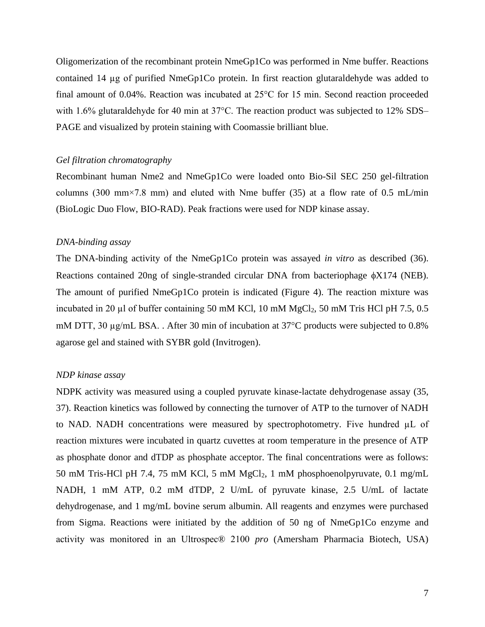Oligomerization of the recombinant protein NmeGp1Co was performed in Nme buffer. Reactions contained 14 µg of purified NmeGp1Co protein. In first reaction glutaraldehyde was added to final amount of 0.04%. Reaction was incubated at 25°C for 15 min. Second reaction proceeded with 1.6% glutaraldehyde for 40 min at  $37^{\circ}$ C. The reaction product was subjected to 12% SDS– PAGE and visualized by protein staining with Coomassie brilliant blue.

### *Gel filtration chromatography*

Recombinant human Nme2 and NmeGp1Co were loaded onto Bio-Sil SEC 250 gel-filtration columns (300 mm $\times$ 7.8 mm) and eluted with Nme buffer [\(35\)](#page-18-8) at a flow rate of 0.5 mL/min (BioLogic Duo Flow, BIO-RAD). Peak fractions were used for NDP kinase assay.

#### *DNA-binding assay*

The DNA-binding activity of the NmeGp1Co protein was assayed *in vitro* as described [\(36\)](#page-18-9). Reactions contained 20ng of single-stranded circular DNA from bacteriophage  $\phi$ X174 (NEB). The amount of purified NmeGp1Co protein is indicated (Figure 4). The reaction mixture was incubated in 20 µl of buffer containing 50 mM KCl, 10 mM MgCl<sub>2</sub>, 50 mM Tris HCl pH 7.5, 0.5 mM DTT, 30  $\mu$ g/mL BSA.. After 30 min of incubation at 37 $\degree$ C products were subjected to 0.8% agarose gel and stained with SYBR gold (Invitrogen).

### *NDP kinase assay*

NDPK activity was measured using a coupled pyruvate kinase-lactate dehydrogenase assay [\(35,](#page-18-8) [37\)](#page-18-10). Reaction kinetics was followed by connecting the turnover of ATP to the turnover of NADH to NAD. NADH concentrations were measured by spectrophotometry. Five hundred µL of reaction mixtures were incubated in quartz cuvettes at room temperature in the presence of ATP as phosphate donor and dTDP as phosphate acceptor. The final concentrations were as follows: 50 mM Tris-HCl pH 7.4, 75 mM KCl, 5 mM MgCl<sub>2</sub>, 1 mM phosphoenolpyruvate, 0.1 mg/mL NADH, 1 mM ATP, 0.2 mM dTDP, 2 U/mL of pyruvate kinase, 2.5 U/mL of lactate dehydrogenase, and 1 mg/mL bovine serum albumin. All reagents and enzymes were purchased from Sigma. Reactions were initiated by the addition of 50 ng of NmeGp1Co enzyme and activity was monitored in an Ultrospec® 2100 *pro* (Amersham Pharmacia Biotech, USA)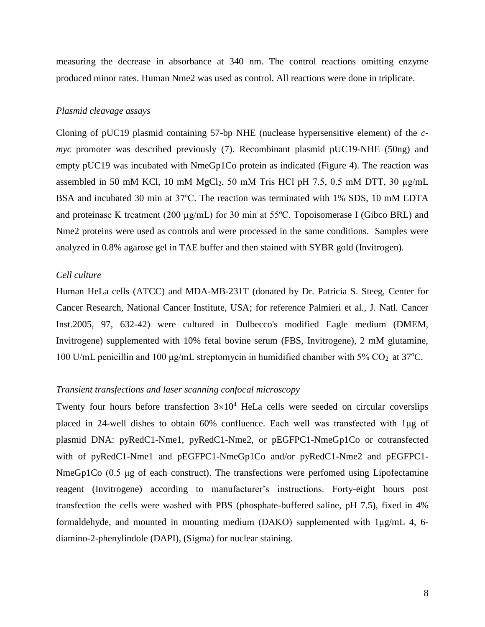measuring the decrease in absorbance at 340 nm. The control reactions omitting enzyme produced minor rates. Human Nme2 was used as control. All reactions were done in triplicate.

#### *Plasmid cleavage assays*

Cloning of pUC19 plasmid containing 57-bp NHE (nuclease hypersensitive element) of the *cmyc* promoter was described previously [\(7\)](#page-16-6). Recombinant plasmid pUC19-NHE (50ng) and empty pUC19 was incubated with NmeGp1Co protein as indicated (Figure 4). The reaction was assembled in 50 mM KCl, 10 mM MgCl<sub>2</sub>, 50 mM Tris HCl pH 7.5, 0.5 mM DTT, 30  $\mu$ g/mL BSA and incubated 30 min at 37ºC. The reaction was terminated with 1% SDS, 10 mM EDTA and proteinase K treatment (200  $\mu$ g/mL) for 30 min at 55°C. Topoisomerase I (Gibco BRL) and Nme2 proteins were used as controls and were processed in the same conditions. Samples were analyzed in 0.8% agarose gel in TAE buffer and then stained with SYBR gold (Invitrogen).

# *Cell culture*

Human HeLa cells (ATCC) and MDA-MB-231T (donated by Dr. Patricia S. Steeg, Center for Cancer Research, National Cancer Institute, USA; for reference Palmieri et al., J. Natl. Cancer Inst.2005, 97, 632-42) were cultured in Dulbecco's modified Eagle medium (DMEM, Invitrogene) supplemented with 10% fetal bovine serum (FBS, Invitrogene), 2 mM glutamine, 100 U/mL penicillin and 100 μg/mL streptomycin in humidified chamber with 5%  $CO_2$  at 37°C.

## *Transient transfections and laser scanning confocal microscopy*

Twenty four hours before transfection  $3\times10^4$  HeLa cells were seeded on circular coverslips placed in 24-well dishes to obtain 60% confluence. Each well was transfected with 1μg of plasmid DNA: pyRedC1-Nme1, pyRedC1-Nme2, or pEGFPC1-NmeGp1Co or cotransfected with of pyRedC1-Nme1 and pEGFPC1-NmeGp1Co and/or pyRedC1-Nme2 and pEGFPC1- NmeGp1Co (0.5 μg of each construct). The transfections were perfomed using Lipofectamine reagent (Invitrogene) according to manufacturer's instructions. Forty-eight hours post transfection the cells were washed with PBS (phosphate-buffered saline, pH 7.5), fixed in 4% formaldehyde, and mounted in mounting medium (DAKO) supplemented with 1μg/mL 4, 6 diamino-2-phenylindole (DAPI), (Sigma) for nuclear staining.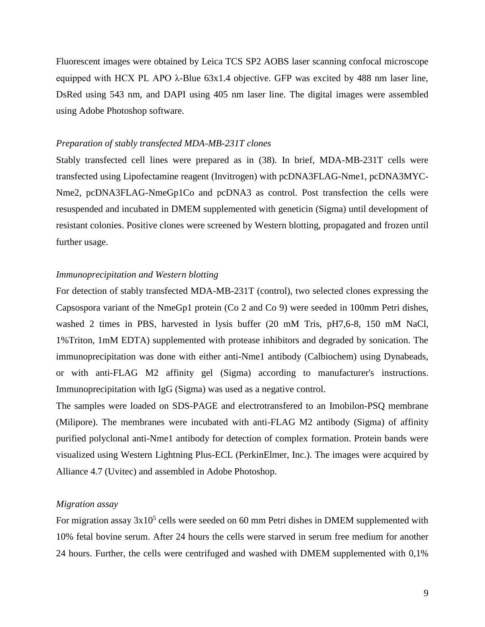Fluorescent images were obtained by Leica TCS SP2 AOBS laser scanning confocal microscope equipped with HCX PL APO λ-Blue 63x1.4 objective. GFP was excited by 488 nm laser line, DsRed using 543 nm, and DAPI using 405 nm laser line. The digital images were assembled using Adobe Photoshop software.

#### *Preparation of stably transfected MDA-MB-231T clones*

Stably transfected cell lines were prepared as in [\(38\)](#page-18-11). In brief, MDA-MB-231T cells were transfected using Lipofectamine reagent (Invitrogen) with pcDNA3FLAG-Nme1, pcDNA3MYC-Nme2, pcDNA3FLAG-NmeGp1Co and pcDNA3 as control. Post transfection the cells were resuspended and incubated in DMEM supplemented with geneticin (Sigma) until development of resistant colonies. Positive clones were screened by Western blotting, propagated and frozen until further usage.

# *Immunoprecipitation and Western blotting*

For detection of stably transfected MDA-MB-231T (control), two selected clones expressing the Capsospora variant of the NmeGp1 protein (Co 2 and Co 9) were seeded in 100mm Petri dishes, washed 2 times in PBS, harvested in lysis buffer (20 mM Tris, pH7,6-8, 150 mM NaCl, 1%Triton, 1mM EDTA) supplemented with protease inhibitors and degraded by sonication. The immunoprecipitation was done with either anti-Nme1 antibody (Calbiochem) using Dynabeads, or with anti-FLAG M2 affinity gel (Sigma) according to manufacturer's instructions. Immunoprecipitation with IgG (Sigma) was used as a negative control.

The samples were loaded on SDS-PAGE and electrotransfered to an Imobilon-PSQ membrane (Milipore). The membranes were incubated with anti-FLAG M2 antibody (Sigma) of affinity purified polyclonal anti-Nme1 antibody for detection of complex formation. Protein bands were visualized using Western Lightning Plus-ECL (PerkinElmer, Inc.). The images were acquired by Alliance 4.7 (Uvitec) and assembled in Adobe Photoshop.

## *Migration assay*

For migration assay  $3x10^5$  cells were seeded on 60 mm Petri dishes in DMEM supplemented with 10% fetal bovine serum. After 24 hours the cells were starved in serum free medium for another 24 hours. Further, the cells were centrifuged and washed with DMEM supplemented with 0,1%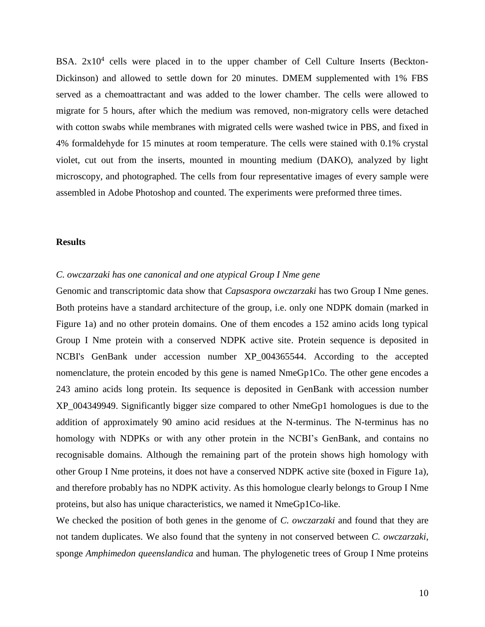BSA. 2x10<sup>4</sup> cells were placed in to the upper chamber of Cell Culture Inserts (Beckton-Dickinson) and allowed to settle down for 20 minutes. DMEM supplemented with 1% FBS served as a chemoattractant and was added to the lower chamber. The cells were allowed to migrate for 5 hours, after which the medium was removed, non-migratory cells were detached with cotton swabs while membranes with migrated cells were washed twice in PBS, and fixed in 4% formaldehyde for 15 minutes at room temperature. The cells were stained with 0.1% crystal violet, cut out from the inserts, mounted in mounting medium (DAKO), analyzed by light microscopy, and photographed. The cells from four representative images of every sample were assembled in Adobe Photoshop and counted. The experiments were preformed three times.

#### **Results**

# *C. owczarzaki has one canonical and one atypical Group I Nme gene*

Genomic and transcriptomic data show that *Capsaspora owczarzaki* has two Group I Nme genes. Both proteins have a standard architecture of the group, i.e. only one NDPK domain (marked in Figure 1a) and no other protein domains. One of them encodes a 152 amino acids long typical Group I Nme protein with a conserved NDPK active site. Protein sequence is deposited in NCBI's GenBank under accession number XP\_004365544. According to the accepted nomenclature, the protein encoded by this gene is named NmeGp1Co. The other gene encodes a 243 amino acids long protein. Its sequence is deposited in GenBank with accession number XP\_004349949. Significantly bigger size compared to other NmeGp1 homologues is due to the addition of approximately 90 amino acid residues at the N-terminus. The N-terminus has no homology with NDPKs or with any other protein in the NCBI's GenBank, and contains no recognisable domains. Although the remaining part of the protein shows high homology with other Group I Nme proteins, it does not have a conserved NDPK active site (boxed in Figure 1a), and therefore probably has no NDPK activity. As this homologue clearly belongs to Group I Nme proteins, but also has unique characteristics, we named it NmeGp1Co-like.

We checked the position of both genes in the genome of *C. owczarzaki* and found that they are not tandem duplicates. We also found that the synteny in not conserved between *C. owczarzaki*, sponge *Amphimedon queenslandica* and human. The phylogenetic trees of Group I Nme proteins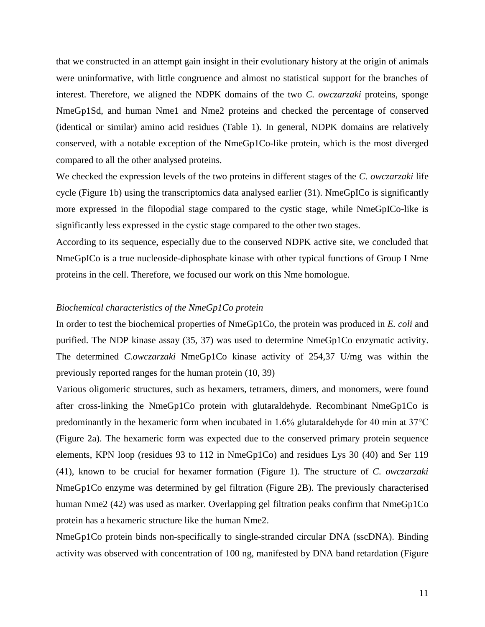that we constructed in an attempt gain insight in their evolutionary history at the origin of animals were uninformative, with little congruence and almost no statistical support for the branches of interest. Therefore, we aligned the NDPK domains of the two *C. owczarzaki* proteins, sponge NmeGp1Sd, and human Nme1 and Nme2 proteins and checked the percentage of conserved (identical or similar) amino acid residues (Table 1). In general, NDPK domains are relatively conserved, with a notable exception of the NmeGp1Co-like protein, which is the most diverged compared to all the other analysed proteins.

We checked the expression levels of the two proteins in different stages of the *C. owczarzaki* life cycle (Figure 1b) using the transcriptomics data analysed earlier [\(31\)](#page-18-4). NmeGpICo is significantly more expressed in the filopodial stage compared to the cystic stage, while NmeGpICo-like is significantly less expressed in the cystic stage compared to the other two stages.

According to its sequence, especially due to the conserved NDPK active site, we concluded that NmeGpICo is a true nucleoside-diphosphate kinase with other typical functions of Group I Nme proteins in the cell. Therefore, we focused our work on this Nme homologue.

#### *Biochemical characteristics of the NmeGp1Co protein*

In order to test the biochemical properties of NmeGp1Co, the protein was produced in *E. coli* and purified. The NDP kinase assay [\(35,](#page-18-8) [37\)](#page-18-10) was used to determine NmeGp1Co enzymatic activity. The determined *C.owczarzaki* NmeGp1Co kinase activity of 254,37 U/mg was within the previously reported ranges for the human protein [\(10,](#page-16-9) [39\)](#page-18-12)

Various oligomeric structures, such as hexamers, tetramers, dimers, and monomers, were found after cross-linking the NmeGp1Co protein with glutaraldehyde. Recombinant NmeGp1Co is predominantly in the hexameric form when incubated in 1.6% glutaraldehyde for 40 min at 37°C (Figure 2a). The hexameric form was expected due to the conserved primary protein sequence elements, KPN loop (residues 93 to 112 in NmeGp1Co) and residues Lys 30 [\(40\)](#page-19-0) and Ser 119 [\(41\)](#page-19-1), known to be crucial for hexamer formation (Figure 1). The structure of *C. owczarzaki* NmeGp1Co enzyme was determined by gel filtration (Figure 2B). The previously characterised human Nme2 [\(42\)](#page-19-2) was used as marker. Overlapping gel filtration peaks confirm that NmeGp1Co protein has a hexameric structure like the human Nme2.

NmeGp1Co protein binds non-specifically to single-stranded circular DNA (sscDNA). Binding activity was observed with concentration of 100 ng, manifested by DNA band retardation (Figure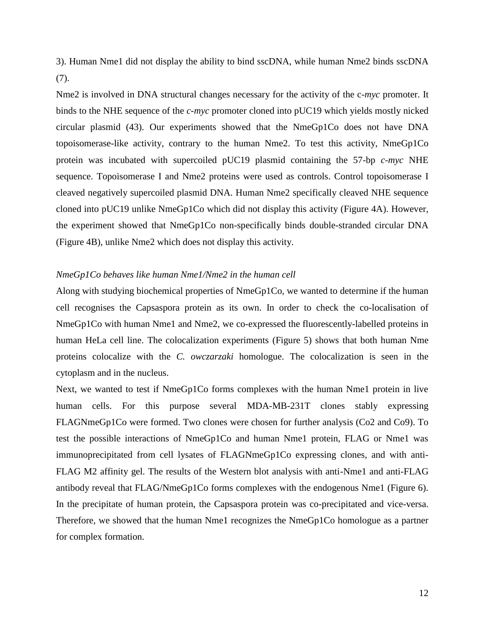3). Human Nme1 did not display the ability to bind sscDNA, while human Nme2 binds sscDNA [\(7\)](#page-16-6).

Nme2 is involved in DNA structural changes necessary for the activity of the c*-myc* promoter. It binds to the NHE sequence of the *c-myc* promoter cloned into pUC19 which yields mostly nicked circular plasmid [\(43\)](#page-19-3). Our experiments showed that the NmeGp1Co does not have DNA topoisomerase-like activity, contrary to the human Nme2. To test this activity, NmeGp1Co protein was incubated with supercoiled pUC19 plasmid containing the 57-bp *c-myc* NHE sequence. Topoisomerase I and Nme2 proteins were used as controls. Control topoisomerase I cleaved negatively supercoiled plasmid DNA. Human Nme2 specifically cleaved NHE sequence cloned into pUC19 unlike NmeGp1Co which did not display this activity (Figure 4A). However, the experiment showed that NmeGp1Co non-specifically binds double-stranded circular DNA (Figure 4B), unlike Nme2 which does not display this activity.

# *NmeGp1Co behaves like human Nme1/Nme2 in the human cell*

Along with studying biochemical properties of NmeGp1Co, we wanted to determine if the human cell recognises the Capsaspora protein as its own. In order to check the co-localisation of NmeGp1Co with human Nme1 and Nme2, we co-expressed the fluorescently-labelled proteins in human HeLa cell line. The colocalization experiments (Figure 5) shows that both human Nme proteins colocalize with the *C. owczarzaki* homologue. The colocalization is seen in the cytoplasm and in the nucleus.

Next, we wanted to test if NmeGp1Co forms complexes with the human Nme1 protein in live human cells. For this purpose several MDA-MB-231T clones stably expressing FLAGNmeGp1Co were formed. Two clones were chosen for further analysis (Co2 and Co9). To test the possible interactions of NmeGp1Co and human Nme1 protein, FLAG or Nme1 was immunoprecipitated from cell lysates of FLAGNmeGp1Co expressing clones, and with anti-FLAG M2 affinity gel. The results of the Western blot analysis with anti-Nme1 and anti-FLAG antibody reveal that FLAG/NmeGp1Co forms complexes with the endogenous Nme1 (Figure 6). In the precipitate of human protein, the Capsaspora protein was co-precipitated and vice-versa. Therefore, we showed that the human Nme1 recognizes the NmeGp1Co homologue as a partner for complex formation.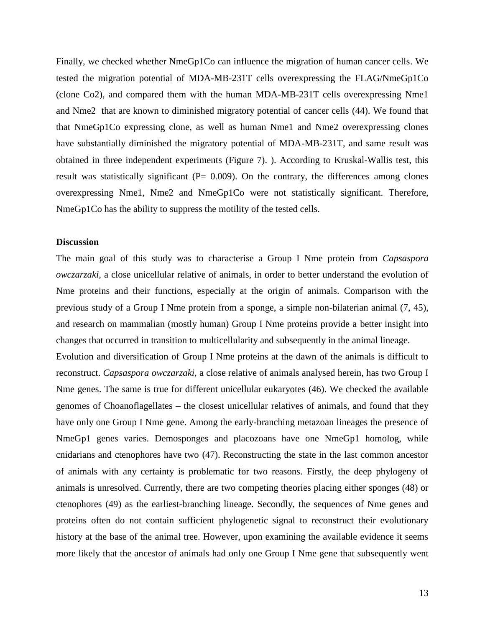Finally, we checked whether NmeGp1Co can influence the migration of human cancer cells. We tested the migration potential of MDA-MB-231T cells overexpressing the FLAG/NmeGp1Co (clone Co2), and compared them with the human MDA-MB-231T cells overexpressing Nme1 and Nme2 that are known to diminished migratory potential of cancer cells [\(44\)](#page-19-4). We found that that NmeGp1Co expressing clone, as well as human Nme1 and Nme2 overexpressing clones have substantially diminished the migratory potential of MDA-MB-231T, and same result was obtained in three independent experiments (Figure 7). ). According to Kruskal-Wallis test, this result was statistically significant ( $P= 0.009$ ). On the contrary, the differences among clones overexpressing Nme1, Nme2 and NmeGp1Co were not statistically significant. Therefore, NmeGp1Co has the ability to suppress the motility of the tested cells.

#### **Discussion**

The main goal of this study was to characterise a Group I Nme protein from *Capsaspora owczarzaki,* a close unicellular relative of animals, in order to better understand the evolution of Nme proteins and their functions, especially at the origin of animals. Comparison with the previous study of a Group I Nme protein from a sponge, a simple non-bilaterian animal [\(7,](#page-16-6) [45\)](#page-19-5), and research on mammalian (mostly human) Group I Nme proteins provide a better insight into changes that occurred in transition to multicellularity and subsequently in the animal lineage.

Evolution and diversification of Group I Nme proteins at the dawn of the animals is difficult to reconstruct. *Capsaspora owczarzaki,* a close relative of animals analysed herein, has two Group I Nme genes. The same is true for different unicellular eukaryotes [\(46\)](#page-19-6). We checked the available genomes of Choanoflagellates – the closest unicellular relatives of animals, and found that they have only one Group I Nme gene. Among the early-branching metazoan lineages the presence of NmeGp1 genes varies. Demosponges and placozoans have one NmeGp1 homolog, while cnidarians and ctenophores have two [\(47\)](#page-19-7). Reconstructing the state in the last common ancestor of animals with any certainty is problematic for two reasons. Firstly, the deep phylogeny of animals is unresolved. Currently, there are two competing theories placing either sponges [\(48\)](#page-19-8) or ctenophores [\(49\)](#page-19-9) as the earliest-branching lineage. Secondly, the sequences of Nme genes and proteins often do not contain sufficient phylogenetic signal to reconstruct their evolutionary history at the base of the animal tree. However, upon examining the available evidence it seems more likely that the ancestor of animals had only one Group I Nme gene that subsequently went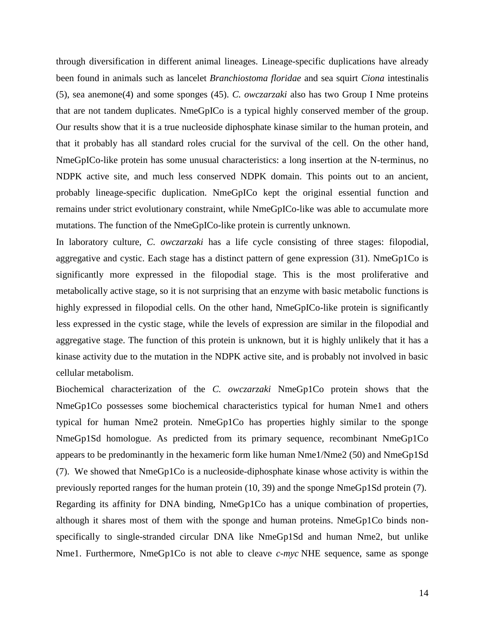through diversification in different animal lineages. Lineage-specific duplications have already been found in animals such as lancelet *Branchiostoma floridae* and sea squirt *Ciona* intestinalis [\(5\)](#page-16-4), sea anemone[\(4\)](#page-16-3) and some sponges [\(45\)](#page-19-5). *C. owczarzaki* also has two Group I Nme proteins that are not tandem duplicates. NmeGpICo is a typical highly conserved member of the group. Our results show that it is a true nucleoside diphosphate kinase similar to the human protein, and that it probably has all standard roles crucial for the survival of the cell. On the other hand, NmeGpICo-like protein has some unusual characteristics: a long insertion at the N-terminus, no NDPK active site, and much less conserved NDPK domain. This points out to an ancient, probably lineage-specific duplication. NmeGpICo kept the original essential function and remains under strict evolutionary constraint, while NmeGpICo-like was able to accumulate more mutations. The function of the NmeGpICo-like protein is currently unknown.

In laboratory culture, *C. owczarzaki* has a life cycle consisting of three stages: filopodial, aggregative and cystic. Each stage has a distinct pattern of gene expression [\(31\)](#page-18-4). NmeGp1Co is significantly more expressed in the filopodial stage. This is the most proliferative and metabolically active stage, so it is not surprising that an enzyme with basic metabolic functions is highly expressed in filopodial cells. On the other hand, NmeGpICo-like protein is significantly less expressed in the cystic stage, while the levels of expression are similar in the filopodial and aggregative stage. The function of this protein is unknown, but it is highly unlikely that it has a kinase activity due to the mutation in the NDPK active site, and is probably not involved in basic cellular metabolism.

Biochemical characterization of the *C. owczarzaki* NmeGp1Co protein shows that the NmeGp1Co possesses some biochemical characteristics typical for human Nme1 and others typical for human Nme2 protein. NmeGp1Co has properties highly similar to the sponge NmeGp1Sd homologue. As predicted from its primary sequence, recombinant NmeGp1Co appears to be predominantly in the hexameric form like human Nme1/Nme2 [\(50\)](#page-19-10) and NmeGp1Sd [\(7\)](#page-16-6). We showed that NmeGp1Co is a nucleoside-diphosphate kinase whose activity is within the previously reported ranges for the human protein [\(10,](#page-16-9) [39\)](#page-18-12) and the sponge NmeGp1Sd protein [\(7\)](#page-16-6). Regarding its affinity for DNA binding, NmeGp1Co has a unique combination of properties, although it shares most of them with the sponge and human proteins. NmeGp1Co binds nonspecifically to single-stranded circular DNA like NmeGp1Sd and human Nme2, but unlike Nme1. Furthermore, NmeGp1Co is not able to cleave *c-myc* NHE sequence, same as sponge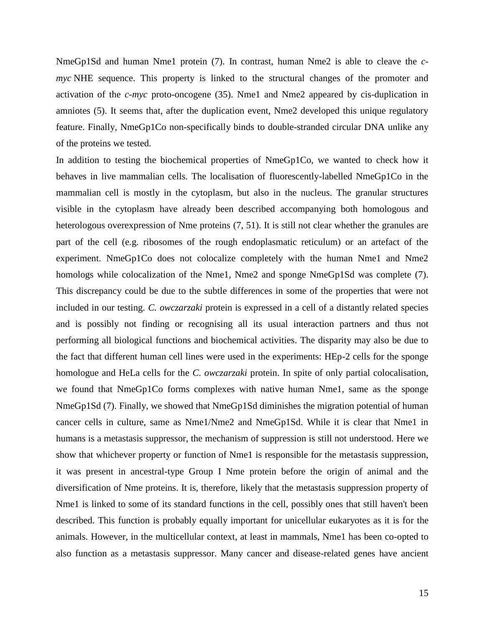NmeGp1Sd and human Nme1 protein [\(7\)](#page-16-6). In contrast, human Nme2 is able to cleave the *cmyc* NHE sequence. This property is linked to the structural changes of the promoter and activation of the *c-myc* proto-oncogene [\(35\)](#page-18-8). Nme1 and Nme2 appeared by cis-duplication in amniotes [\(5\)](#page-16-4). It seems that, after the duplication event, Nme2 developed this unique regulatory feature. Finally, NmeGp1Co non-specifically binds to double-stranded circular DNA unlike any of the proteins we tested.

In addition to testing the biochemical properties of NmeGp1Co, we wanted to check how it behaves in live mammalian cells. The localisation of fluorescently-labelled NmeGp1Co in the mammalian cell is mostly in the cytoplasm, but also in the nucleus. The granular structures visible in the cytoplasm have already been described accompanying both homologous and heterologous overexpression of Nme proteins  $(7, 51)$  $(7, 51)$ . It is still not clear whether the granules are part of the cell (e.g. ribosomes of the rough endoplasmatic reticulum) or an artefact of the experiment. NmeGp1Co does not colocalize completely with the human Nme1 and Nme2 homologs while colocalization of the Nme1, Nme2 and sponge NmeGp1Sd was complete [\(7\)](#page-16-6). This discrepancy could be due to the subtle differences in some of the properties that were not included in our testing. *C. owczarzaki* protein is expressed in a cell of a distantly related species and is possibly not finding or recognising all its usual interaction partners and thus not performing all biological functions and biochemical activities. The disparity may also be due to the fact that different human cell lines were used in the experiments: HEp-2 cells for the sponge homologue and HeLa cells for the *C. owczarzaki* protein. In spite of only partial colocalisation, we found that NmeGp1Co forms complexes with native human Nme1, same as the sponge NmeGp1Sd [\(7\)](#page-16-6). Finally, we showed that NmeGp1Sd diminishes the migration potential of human cancer cells in culture, same as Nme1/Nme2 and NmeGp1Sd. While it is clear that Nme1 in humans is a metastasis suppressor, the mechanism of suppression is still not understood. Here we show that whichever property or function of Nme1 is responsible for the metastasis suppression, it was present in ancestral-type Group I Nme protein before the origin of animal and the diversification of Nme proteins. It is, therefore, likely that the metastasis suppression property of Nme1 is linked to some of its standard functions in the cell, possibly ones that still haven't been described. This function is probably equally important for unicellular eukaryotes as it is for the animals. However, in the multicellular context, at least in mammals, Nme1 has been co-opted to also function as a metastasis suppressor. Many cancer and disease-related genes have ancient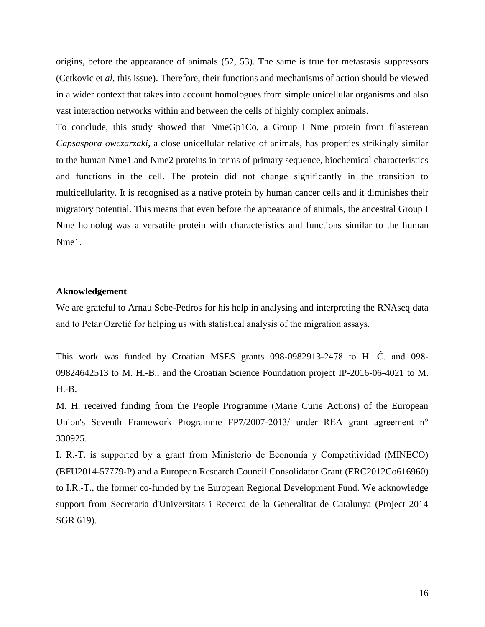origins, before the appearance of animals [\(52,](#page-19-12) [53\)](#page-20-0). The same is true for metastasis suppressors (Cetkovic et *al*, this issue). Therefore, their functions and mechanisms of action should be viewed in a wider context that takes into account homologues from simple unicellular organisms and also vast interaction networks within and between the cells of highly complex animals.

To conclude, this study showed that NmeGp1Co, a Group I Nme protein from filasterean *Capsaspora owczarzaki*, a close unicellular relative of animals, has properties strikingly similar to the human Nme1 and Nme2 proteins in terms of primary sequence, biochemical characteristics and functions in the cell. The protein did not change significantly in the transition to multicellularity. It is recognised as a native protein by human cancer cells and it diminishes their migratory potential. This means that even before the appearance of animals, the ancestral Group I Nme homolog was a versatile protein with characteristics and functions similar to the human Nme1.

# **Aknowledgement**

We are grateful to Arnau Sebe-Pedros for his help in analysing and interpreting the RNAseq data and to Petar Ozretić for helping us with statistical analysis of the migration assays.

This work was funded by Croatian MSES grants 098-0982913-2478 to H. Ć. and 098- 09824642513 to M. H.-B., and the Croatian Science Foundation project IP-2016-06-4021 to M. H.-B.

M. H. received funding from the People Programme (Marie Curie Actions) of the European Union's Seventh Framework Programme FP7/2007-2013/ under REA grant agreement n° 330925.

I. R.-T. is supported by a grant from Ministerio de Economía y Competitividad (MINECO) (BFU2014-57779-P) and a European Research Council Consolidator Grant (ERC2012Co616960) to I.R.-T., the former co-funded by the European Regional Development Fund. We acknowledge support from Secretaria d'Universitats i Recerca de la Generalitat de Catalunya (Project 2014 SGR 619).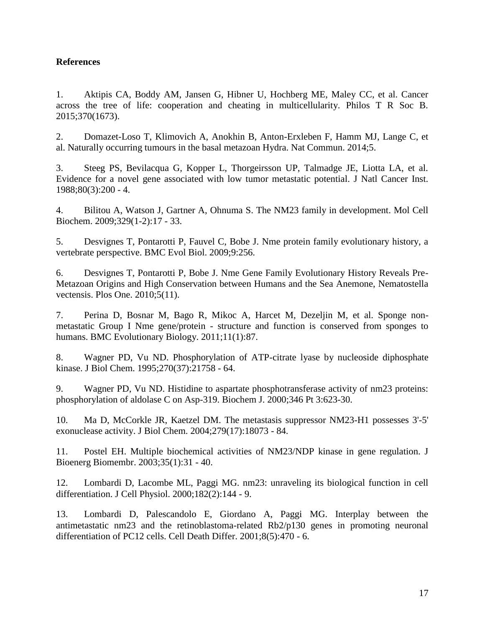# **References**

<span id="page-16-0"></span>1. Aktipis CA, Boddy AM, Jansen G, Hibner U, Hochberg ME, Maley CC, et al. Cancer across the tree of life: cooperation and cheating in multicellularity. Philos T R Soc B. 2015;370(1673).

<span id="page-16-1"></span>2. Domazet-Loso T, Klimovich A, Anokhin B, Anton-Erxleben F, Hamm MJ, Lange C, et al. Naturally occurring tumours in the basal metazoan Hydra. Nat Commun. 2014;5.

<span id="page-16-2"></span>3. Steeg PS, Bevilacqua G, Kopper L, Thorgeirsson UP, Talmadge JE, Liotta LA, et al. Evidence for a novel gene associated with low tumor metastatic potential. J Natl Cancer Inst. 1988;80(3):200 - 4.

<span id="page-16-3"></span>4. Bilitou A, Watson J, Gartner A, Ohnuma S. The NM23 family in development. Mol Cell Biochem. 2009;329(1-2):17 - 33.

<span id="page-16-4"></span>5. Desvignes T, Pontarotti P, Fauvel C, Bobe J. Nme protein family evolutionary history, a vertebrate perspective. BMC Evol Biol. 2009;9:256.

<span id="page-16-5"></span>6. Desvignes T, Pontarotti P, Bobe J. Nme Gene Family Evolutionary History Reveals Pre-Metazoan Origins and High Conservation between Humans and the Sea Anemone, Nematostella vectensis. Plos One. 2010;5(11).

<span id="page-16-6"></span>7. Perina D, Bosnar M, Bago R, Mikoc A, Harcet M, Dezeljin M, et al. Sponge nonmetastatic Group I Nme gene/protein - structure and function is conserved from sponges to humans. BMC Evolutionary Biology. 2011;11(1):87.

<span id="page-16-7"></span>8. Wagner PD, Vu ND. Phosphorylation of ATP-citrate lyase by nucleoside diphosphate kinase. J Biol Chem. 1995;270(37):21758 - 64.

<span id="page-16-8"></span>9. Wagner PD, Vu ND. Histidine to aspartate phosphotransferase activity of nm23 proteins: phosphorylation of aldolase C on Asp-319. Biochem J. 2000;346 Pt 3:623-30.

<span id="page-16-9"></span>10. Ma D, McCorkle JR, Kaetzel DM. The metastasis suppressor NM23-H1 possesses 3'-5' exonuclease activity. J Biol Chem. 2004;279(17):18073 - 84.

<span id="page-16-10"></span>11. Postel EH. Multiple biochemical activities of NM23/NDP kinase in gene regulation. J Bioenerg Biomembr. 2003;35(1):31 - 40.

<span id="page-16-11"></span>12. Lombardi D, Lacombe ML, Paggi MG. nm23: unraveling its biological function in cell differentiation. J Cell Physiol. 2000;182(2):144 - 9.

<span id="page-16-12"></span>13. Lombardi D, Palescandolo E, Giordano A, Paggi MG. Interplay between the antimetastatic nm23 and the retinoblastoma-related Rb2/p130 genes in promoting neuronal differentiation of PC12 cells. Cell Death Differ. 2001;8(5):470 - 6.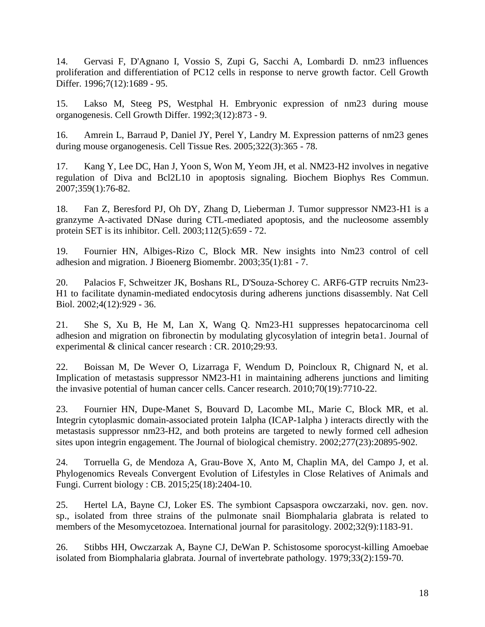<span id="page-17-0"></span>14. Gervasi F, D'Agnano I, Vossio S, Zupi G, Sacchi A, Lombardi D. nm23 influences proliferation and differentiation of PC12 cells in response to nerve growth factor. Cell Growth Differ. 1996;7(12):1689 - 95.

<span id="page-17-1"></span>15. Lakso M, Steeg PS, Westphal H. Embryonic expression of nm23 during mouse organogenesis. Cell Growth Differ. 1992;3(12):873 - 9.

<span id="page-17-2"></span>16. Amrein L, Barraud P, Daniel JY, Perel Y, Landry M. Expression patterns of nm23 genes during mouse organogenesis. Cell Tissue Res. 2005;322(3):365 - 78.

<span id="page-17-3"></span>17. Kang Y, Lee DC, Han J, Yoon S, Won M, Yeom JH, et al. NM23-H2 involves in negative regulation of Diva and Bcl2L10 in apoptosis signaling. Biochem Biophys Res Commun. 2007;359(1):76-82.

<span id="page-17-4"></span>18. Fan Z, Beresford PJ, Oh DY, Zhang D, Lieberman J. Tumor suppressor NM23-H1 is a granzyme A-activated DNase during CTL-mediated apoptosis, and the nucleosome assembly protein SET is its inhibitor. Cell. 2003;112(5):659 - 72.

<span id="page-17-5"></span>19. Fournier HN, Albiges-Rizo C, Block MR. New insights into Nm23 control of cell adhesion and migration. J Bioenerg Biomembr. 2003;35(1):81 - 7.

<span id="page-17-6"></span>20. Palacios F, Schweitzer JK, Boshans RL, D'Souza-Schorey C. ARF6-GTP recruits Nm23- H1 to facilitate dynamin-mediated endocytosis during adherens junctions disassembly. Nat Cell Biol. 2002;4(12):929 - 36.

<span id="page-17-7"></span>21. She S, Xu B, He M, Lan X, Wang Q. Nm23-H1 suppresses hepatocarcinoma cell adhesion and migration on fibronectin by modulating glycosylation of integrin beta1. Journal of experimental & clinical cancer research : CR. 2010;29:93.

<span id="page-17-8"></span>22. Boissan M, De Wever O, Lizarraga F, Wendum D, Poincloux R, Chignard N, et al. Implication of metastasis suppressor NM23-H1 in maintaining adherens junctions and limiting the invasive potential of human cancer cells. Cancer research. 2010;70(19):7710-22.

<span id="page-17-9"></span>23. Fournier HN, Dupe-Manet S, Bouvard D, Lacombe ML, Marie C, Block MR, et al. Integrin cytoplasmic domain-associated protein 1alpha (ICAP-1alpha ) interacts directly with the metastasis suppressor nm23-H2, and both proteins are targeted to newly formed cell adhesion sites upon integrin engagement. The Journal of biological chemistry. 2002;277(23):20895-902.

<span id="page-17-10"></span>24. Torruella G, de Mendoza A, Grau-Bove X, Anto M, Chaplin MA, del Campo J, et al. Phylogenomics Reveals Convergent Evolution of Lifestyles in Close Relatives of Animals and Fungi. Current biology : CB. 2015;25(18):2404-10.

<span id="page-17-11"></span>25. Hertel LA, Bayne CJ, Loker ES. The symbiont Capsaspora owczarzaki, nov. gen. nov. sp., isolated from three strains of the pulmonate snail Biomphalaria glabrata is related to members of the Mesomycetozoea. International journal for parasitology. 2002;32(9):1183-91.

<span id="page-17-12"></span>26. Stibbs HH, Owczarzak A, Bayne CJ, DeWan P. Schistosome sporocyst-killing Amoebae isolated from Biomphalaria glabrata. Journal of invertebrate pathology. 1979;33(2):159-70.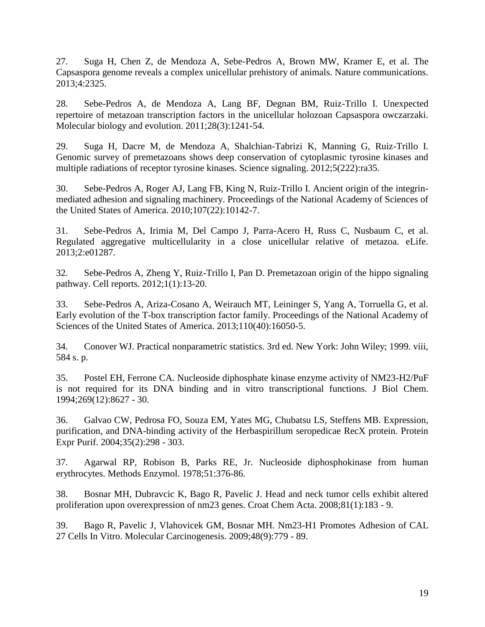<span id="page-18-0"></span>27. Suga H, Chen Z, de Mendoza A, Sebe-Pedros A, Brown MW, Kramer E, et al. The Capsaspora genome reveals a complex unicellular prehistory of animals. Nature communications. 2013;4:2325.

<span id="page-18-1"></span>28. Sebe-Pedros A, de Mendoza A, Lang BF, Degnan BM, Ruiz-Trillo I. Unexpected repertoire of metazoan transcription factors in the unicellular holozoan Capsaspora owczarzaki. Molecular biology and evolution. 2011;28(3):1241-54.

<span id="page-18-2"></span>29. Suga H, Dacre M, de Mendoza A, Shalchian-Tabrizi K, Manning G, Ruiz-Trillo I. Genomic survey of premetazoans shows deep conservation of cytoplasmic tyrosine kinases and multiple radiations of receptor tyrosine kinases. Science signaling. 2012;5(222):ra35.

<span id="page-18-3"></span>30. Sebe-Pedros A, Roger AJ, Lang FB, King N, Ruiz-Trillo I. Ancient origin of the integrinmediated adhesion and signaling machinery. Proceedings of the National Academy of Sciences of the United States of America. 2010;107(22):10142-7.

<span id="page-18-4"></span>31. Sebe-Pedros A, Irimia M, Del Campo J, Parra-Acero H, Russ C, Nusbaum C, et al. Regulated aggregative multicellularity in a close unicellular relative of metazoa. eLife. 2013;2:e01287.

<span id="page-18-5"></span>32. Sebe-Pedros A, Zheng Y, Ruiz-Trillo I, Pan D. Premetazoan origin of the hippo signaling pathway. Cell reports. 2012;1(1):13-20.

<span id="page-18-6"></span>33. Sebe-Pedros A, Ariza-Cosano A, Weirauch MT, Leininger S, Yang A, Torruella G, et al. Early evolution of the T-box transcription factor family. Proceedings of the National Academy of Sciences of the United States of America. 2013;110(40):16050-5.

<span id="page-18-7"></span>34. Conover WJ. Practical nonparametric statistics. 3rd ed. New York: John Wiley; 1999. viii, 584 s. p.

<span id="page-18-8"></span>35. Postel EH, Ferrone CA. Nucleoside diphosphate kinase enzyme activity of NM23-H2/PuF is not required for its DNA binding and in vitro transcriptional functions. J Biol Chem. 1994;269(12):8627 - 30.

<span id="page-18-9"></span>36. Galvao CW, Pedrosa FO, Souza EM, Yates MG, Chubatsu LS, Steffens MB. Expression, purification, and DNA-binding activity of the Herbaspirillum seropedicae RecX protein. Protein Expr Purif. 2004;35(2):298 - 303.

<span id="page-18-10"></span>37. Agarwal RP, Robison B, Parks RE, Jr. Nucleoside diphosphokinase from human erythrocytes. Methods Enzymol. 1978;51:376-86.

<span id="page-18-11"></span>38. Bosnar MH, Dubravcic K, Bago R, Pavelic J. Head and neck tumor cells exhibit altered proliferation upon overexpression of nm23 genes. Croat Chem Acta. 2008;81(1):183 - 9.

<span id="page-18-12"></span>39. Bago R, Pavelic J, Vlahovicek GM, Bosnar MH. Nm23-H1 Promotes Adhesion of CAL 27 Cells In Vitro. Molecular Carcinogenesis. 2009;48(9):779 - 89.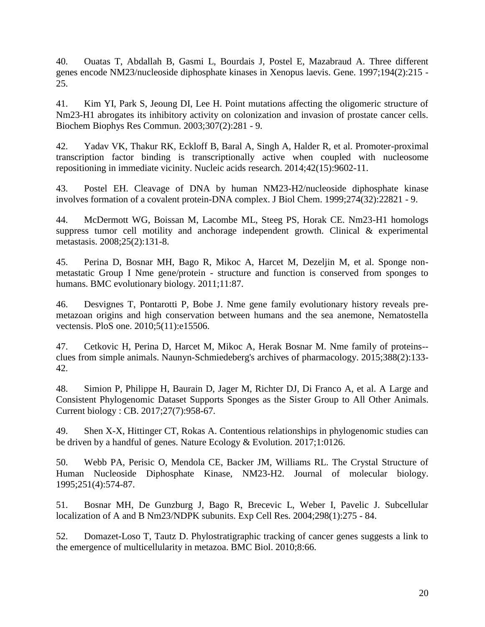<span id="page-19-0"></span>40. Ouatas T, Abdallah B, Gasmi L, Bourdais J, Postel E, Mazabraud A. Three different genes encode NM23/nucleoside diphosphate kinases in Xenopus laevis. Gene. 1997;194(2):215 - 25.

<span id="page-19-1"></span>41. Kim YI, Park S, Jeoung DI, Lee H. Point mutations affecting the oligomeric structure of Nm23-H1 abrogates its inhibitory activity on colonization and invasion of prostate cancer cells. Biochem Biophys Res Commun. 2003;307(2):281 - 9.

<span id="page-19-2"></span>42. Yadav VK, Thakur RK, Eckloff B, Baral A, Singh A, Halder R, et al. Promoter-proximal transcription factor binding is transcriptionally active when coupled with nucleosome repositioning in immediate vicinity. Nucleic acids research. 2014;42(15):9602-11.

<span id="page-19-3"></span>43. Postel EH. Cleavage of DNA by human NM23-H2/nucleoside diphosphate kinase involves formation of a covalent protein-DNA complex. J Biol Chem. 1999;274(32):22821 - 9.

<span id="page-19-4"></span>44. McDermott WG, Boissan M, Lacombe ML, Steeg PS, Horak CE. Nm23-H1 homologs suppress tumor cell motility and anchorage independent growth. Clinical & experimental metastasis. 2008;25(2):131-8.

<span id="page-19-5"></span>45. Perina D, Bosnar MH, Bago R, Mikoc A, Harcet M, Dezeljin M, et al. Sponge nonmetastatic Group I Nme gene/protein - structure and function is conserved from sponges to humans. BMC evolutionary biology. 2011;11:87.

<span id="page-19-6"></span>46. Desvignes T, Pontarotti P, Bobe J. Nme gene family evolutionary history reveals premetazoan origins and high conservation between humans and the sea anemone, Nematostella vectensis. PloS one. 2010;5(11):e15506.

<span id="page-19-7"></span>47. Cetkovic H, Perina D, Harcet M, Mikoc A, Herak Bosnar M. Nme family of proteins- clues from simple animals. Naunyn-Schmiedeberg's archives of pharmacology. 2015;388(2):133- 42.

<span id="page-19-8"></span>48. Simion P, Philippe H, Baurain D, Jager M, Richter DJ, Di Franco A, et al. A Large and Consistent Phylogenomic Dataset Supports Sponges as the Sister Group to All Other Animals. Current biology : CB. 2017;27(7):958-67.

<span id="page-19-9"></span>49. Shen X-X, Hittinger CT, Rokas A. Contentious relationships in phylogenomic studies can be driven by a handful of genes. Nature Ecology & Evolution. 2017;1:0126.

<span id="page-19-10"></span>50. Webb PA, Perisic O, Mendola CE, Backer JM, Williams RL. The Crystal Structure of Human Nucleoside Diphosphate Kinase, NM23-H2. Journal of molecular biology. 1995;251(4):574-87.

<span id="page-19-11"></span>51. Bosnar MH, De Gunzburg J, Bago R, Brecevic L, Weber I, Pavelic J. Subcellular localization of A and B Nm23/NDPK subunits. Exp Cell Res. 2004;298(1):275 - 84.

<span id="page-19-12"></span>52. Domazet-Loso T, Tautz D. Phylostratigraphic tracking of cancer genes suggests a link to the emergence of multicellularity in metazoa. BMC Biol. 2010;8:66.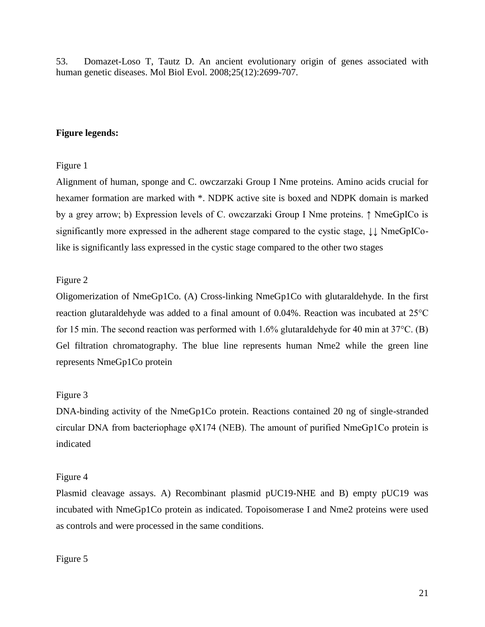<span id="page-20-0"></span>53. Domazet-Loso T, Tautz D. An ancient evolutionary origin of genes associated with human genetic diseases. Mol Biol Evol. 2008;25(12):2699-707.

# **Figure legends:**

# Figure 1

Alignment of human, sponge and C. owczarzaki Group I Nme proteins. Amino acids crucial for hexamer formation are marked with \*. NDPK active site is boxed and NDPK domain is marked by a grey arrow; b) Expression levels of C. owczarzaki Group I Nme proteins. ↑ NmeGpICo is significantly more expressed in the adherent stage compared to the cystic stage, ↓↓ NmeGpIColike is significantly lass expressed in the cystic stage compared to the other two stages

# Figure 2

Oligomerization of NmeGp1Co. (A) Cross-linking NmeGp1Co with glutaraldehyde. In the first reaction glutaraldehyde was added to a final amount of 0.04%. Reaction was incubated at 25°C for 15 min. The second reaction was performed with 1.6% glutaraldehyde for 40 min at  $37^{\circ}$ C. (B) Gel filtration chromatography. The blue line represents human Nme2 while the green line represents NmeGp1Co protein

# Figure 3

DNA-binding activity of the NmeGp1Co protein. Reactions contained 20 ng of single-stranded circular DNA from bacteriophage φX174 (NEB). The amount of purified NmeGp1Co protein is indicated

# Figure 4

Plasmid cleavage assays. A) Recombinant plasmid pUC19-NHE and B) empty pUC19 was incubated with NmeGp1Co protein as indicated. Topoisomerase I and Nme2 proteins were used as controls and were processed in the same conditions.

# Figure 5